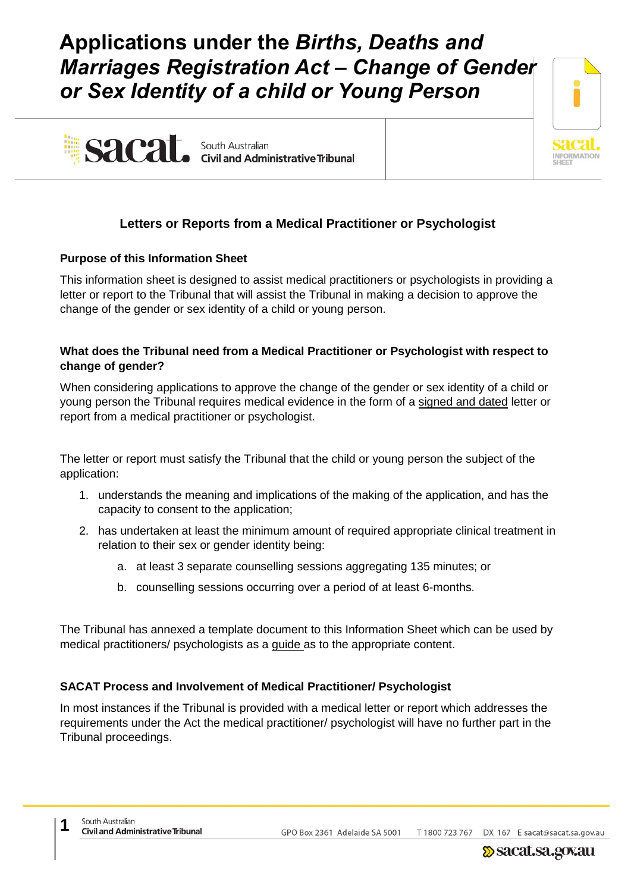# **Applications under the** *Births, Deaths and Marriages Registration Act – Change of Gender or Sex Identity of a child or Young Person*



# sacat. South Australian<br>Civil and Administrative Tribunal

# **Letters or Reports from a Medical Practitioner or Psychologist**

# **Purpose of this Information Sheet**

This information sheet is designed to assist medical practitioners or psychologists in providing a letter or report to the Tribunal that will assist the Tribunal in making a decision to approve the change of the gender or sex identity of a child or young person.

### **What does the Tribunal need from a Medical Practitioner or Psychologist with respect to change of gender?**

When considering applications to approve the change of the gender or sex identity of a child or young person the Tribunal requires medical evidence in the form of a signed and dated letter or report from a medical practitioner or psychologist.

The letter or report must satisfy the Tribunal that the child or young person the subject of the application:

- 1. understands the meaning and implications of the making of the application, and has the capacity to consent to the application;
- 2. has undertaken at least the minimum amount of required appropriate clinical treatment in relation to their sex or gender identity being:
	- a. at least 3 separate counselling sessions aggregating 135 minutes; or
	- b. counselling sessions occurring over a period of at least 6-months.

The Tribunal has annexed a template document to this Information Sheet which can be used by medical practitioners/ psychologists as a guide as to the appropriate content.

# **SACAT Process and Involvement of Medical Practitioner/ Psychologist**

In most instances if the Tribunal is provided with a medical letter or report which addresses the requirements under the Act the medical practitioner/ psychologist will have no further part in the Tribunal proceedings.

GPO Box 2361 Adelaide SA 5001 T 1800 723 767 DX 167 E sacat@sacat.sa.gov.au

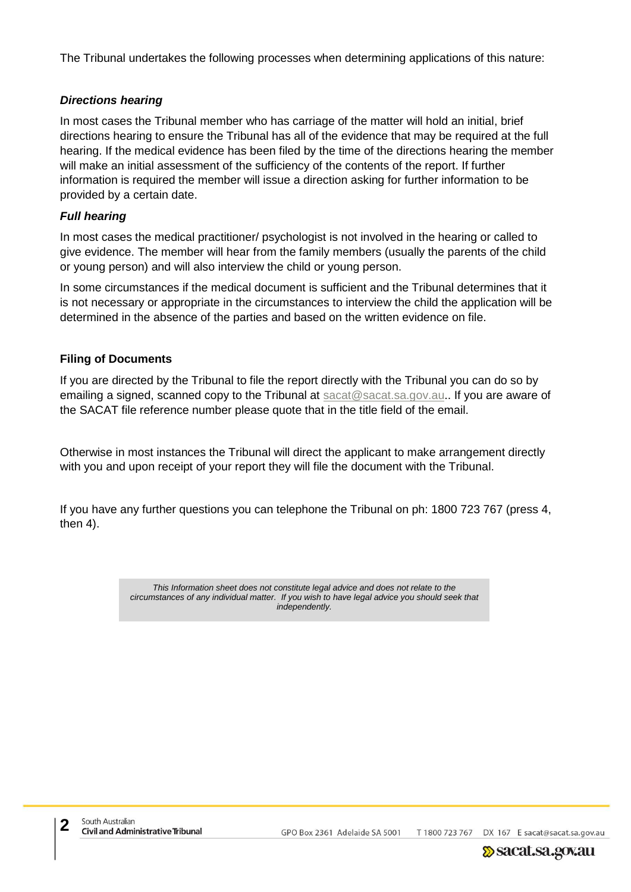The Tribunal undertakes the following processes when determining applications of this nature:

#### *Directions hearing*

In most cases the Tribunal member who has carriage of the matter will hold an initial, brief directions hearing to ensure the Tribunal has all of the evidence that may be required at the full hearing. If the medical evidence has been filed by the time of the directions hearing the member will make an initial assessment of the sufficiency of the contents of the report. If further information is required the member will issue a direction asking for further information to be provided by a certain date.

#### *Full hearing*

In most cases the medical practitioner/ psychologist is not involved in the hearing or called to give evidence. The member will hear from the family members (usually the parents of the child or young person) and will also interview the child or young person.

In some circumstances if the medical document is sufficient and the Tribunal determines that it is not necessary or appropriate in the circumstances to interview the child the application will be determined in the absence of the parties and based on the written evidence on file.

#### **Filing of Documents**

If you are directed by the Tribunal to file the report directly with the Tribunal you can do so by emailing a signed, scanned copy to the Tribunal at [sacat@sacat.sa.gov.au.](mailto:sacat@sacat.sa.gov.au). If you are aware of the SACAT file reference number please quote that in the title field of the email.

Otherwise in most instances the Tribunal will direct the applicant to make arrangement directly with you and upon receipt of your report they will file the document with the Tribunal.

If you have any further questions you can telephone the Tribunal on ph: 1800 723 767 (press 4, then 4).

> *This Information sheet does not constitute legal advice and does not relate to the circumstances of any individual matter. If you wish to have legal advice you should seek that independently.*